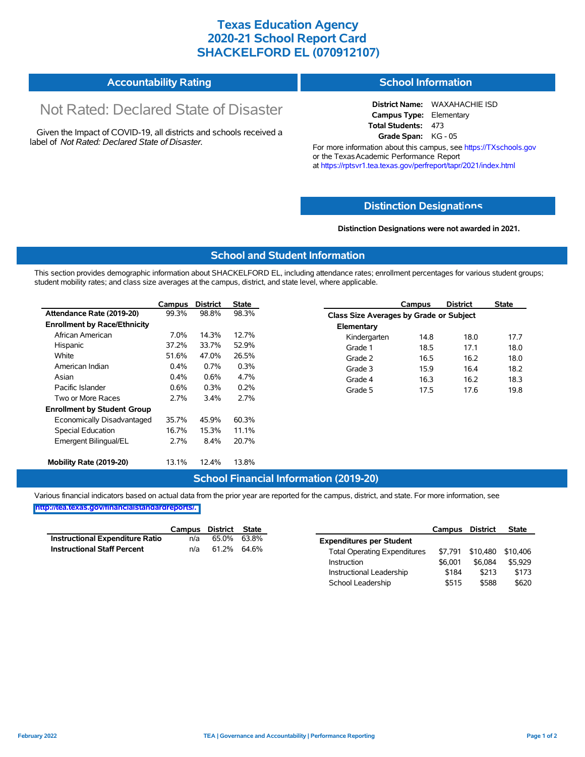## **Texas Education Agency 2020-21 School Report Card SHACKELFORD EL (070912107)**

| <b>Accountability Rating</b> | <b>School Information</b> |
|------------------------------|---------------------------|
|------------------------------|---------------------------|

# Not Rated: Declared State of Disaster

Given the Impact of COVID-19, all districts and schools received a label of *Not Rated: Declared State of Disaster.*

**District Name:** WAXAHACHIE ISD **Campus Type:** Elementary **Total Students:** 473 **Grade Span:** KG - 05

For more information about this campus, see https://TXschools.gov or the Texas Academic Performance Report at https://rptsvr1.tea.texas.gov/perfreport/tapr/2021/index.html

#### **Distinction Designat[ions](https://TXschools.gov)**

**Distinction Designations were not awarded in 2021.**

School Leadership  $$515$  \$588 \$620

#### **School and Student Information**

This section provides demographic information about SHACKELFORD EL, including attendance rates; enrollment percentages for various student groups; student mobility rates; and class size averages at the campus, district, and state level, where applicable.

|                                     | Campus | <b>District</b> | <b>State</b> |              | Campus                                  | <b>District</b> | <b>State</b> |  |
|-------------------------------------|--------|-----------------|--------------|--------------|-----------------------------------------|-----------------|--------------|--|
| Attendance Rate (2019-20)           | 99.3%  | 98.8%           | 98.3%        |              | Class Size Averages by Grade or Subject |                 |              |  |
| <b>Enrollment by Race/Ethnicity</b> |        |                 |              | Elementary   |                                         |                 |              |  |
| African American                    | 7.0%   | 14.3%           | 12.7%        | Kindergarten | 14.8                                    | 18.0            | 17.7         |  |
| Hispanic                            | 37.2%  | 33.7%           | 52.9%        | Grade 1      | 18.5                                    | 17.1            | 18.0         |  |
| White                               | 51.6%  | 47.0%           | 26.5%        | Grade 2      | 16.5                                    | 16.2            | 18.0         |  |
| American Indian                     | 0.4%   | 0.7%            | 0.3%         | Grade 3      | 15.9                                    | 16.4            | 18.2         |  |
| Asian                               | 0.4%   | 0.6%            | 4.7%         | Grade 4      | 16.3                                    | 16.2            | 18.3         |  |
| Pacific Islander                    | 0.6%   | 0.3%            | 0.2%         | Grade 5      | 17.5                                    | 17.6            | 19.8         |  |
| Two or More Races                   | 2.7%   | 3.4%            | 2.7%         |              |                                         |                 |              |  |
| <b>Enrollment by Student Group</b>  |        |                 |              |              |                                         |                 |              |  |
| Economically Disadvantaged          | 35.7%  | 45.9%           | 60.3%        |              |                                         |                 |              |  |
| Special Education                   | 16.7%  | 15.3%           | 11.1%        |              |                                         |                 |              |  |
| Emergent Bilingual/EL               | 2.7%   | 8.4%            | 20.7%        |              |                                         |                 |              |  |
|                                     |        |                 |              |              |                                         |                 |              |  |
| Mobility Rate (2019-20)             | 13.1%  | 12.4%           | 13.8%        |              |                                         |                 |              |  |

#### **School Financial Information (2019-20)**

Various financial indicators based on actual data from the prior year are reported for the campus, district, and state. For more information, see

**[http://tea.texas.gov/financialstandardreports/.](http://tea.texas.gov/financialstandardreports/)**

|                                        | Campus | District | State       |                                     | Campus  | <b>District</b> | <b>State</b> |
|----------------------------------------|--------|----------|-------------|-------------------------------------|---------|-----------------|--------------|
| <b>Instructional Expenditure Ratio</b> | n/a    | 65.0%    | 63.8%       | <b>Expenditures per Student</b>     |         |                 |              |
| <b>Instructional Staff Percent</b>     | n/a    |          | 61.2% 64.6% | <b>Total Operating Expenditures</b> | \$7.791 | \$10,480        | \$10.406     |
|                                        |        |          |             | Instruction                         | \$6,001 | \$6,084         | \$5.929      |
|                                        |        |          |             | Instructional Leadership            | \$184   | \$213           | \$173        |